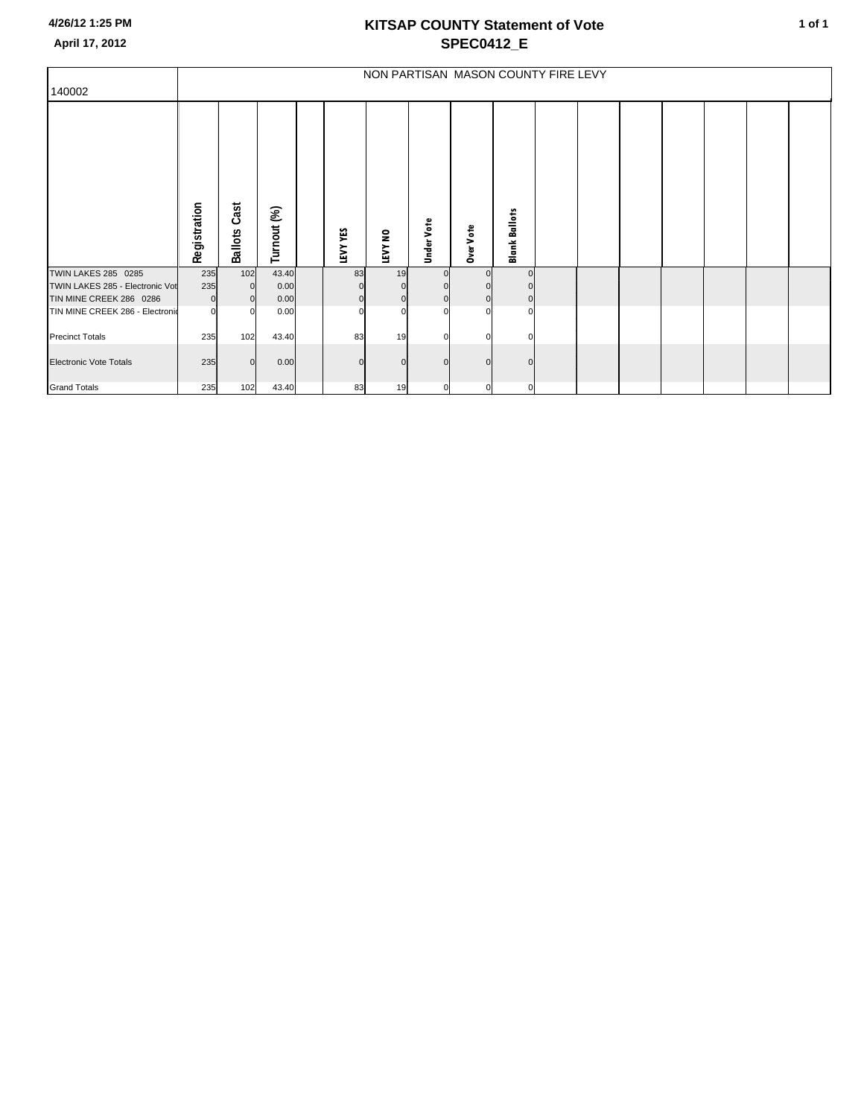|                                 | NON PARTISAN MASON COUNTY FIRE LEVY |                        |             |  |          |             |                   |                  |                      |  |  |  |  |  |  |  |
|---------------------------------|-------------------------------------|------------------------|-------------|--|----------|-------------|-------------------|------------------|----------------------|--|--|--|--|--|--|--|
| 140002                          |                                     |                        |             |  |          |             |                   |                  |                      |  |  |  |  |  |  |  |
|                                 | Registration                        | Cast<br><b>Ballots</b> | Turnout (%) |  | LEVY YES | LEVY NO     | <b>Under Vote</b> | <b>Dver Vote</b> | <b>Blank Ballots</b> |  |  |  |  |  |  |  |
| <b>TWIN LAKES 285 0285</b>      | 235                                 | 102                    | 43.40       |  | 83       | 19          |                   | $\Omega$         | $\Omega$             |  |  |  |  |  |  |  |
| TWIN LAKES 285 - Electronic Vot | 235                                 | $\overline{0}$         | 0.00        |  |          |             |                   |                  |                      |  |  |  |  |  |  |  |
| TIN MINE CREEK 286 0286         | $\overline{0}$                      | $\overline{0}$         | 0.00        |  | $\Omega$ | $\mathbf 0$ | $\mathbf{0}$      | $\overline{0}$   | $\overline{0}$       |  |  |  |  |  |  |  |
| TIN MINE CREEK 286 - Electronio | $\Omega$                            | $\Omega$               | 0.00        |  | $\Omega$ | $\Omega$    | $\Omega$          | $\Omega$         | $\Omega$             |  |  |  |  |  |  |  |
| <b>Precinct Totals</b>          | 235                                 | 102                    | 43.40       |  | 83       | 19          | C                 | $\Omega$         | $\Omega$             |  |  |  |  |  |  |  |
| <b>Electronic Vote Totals</b>   | 235                                 | $\Omega$               | 0.00        |  |          | $\Omega$    | n                 | $\Omega$         | U                    |  |  |  |  |  |  |  |
| <b>Grand Totals</b>             | 235                                 | 102                    | 43.40       |  | 83       | 19          | $\overline{0}$    | $\mathbf{0}$     | $\overline{0}$       |  |  |  |  |  |  |  |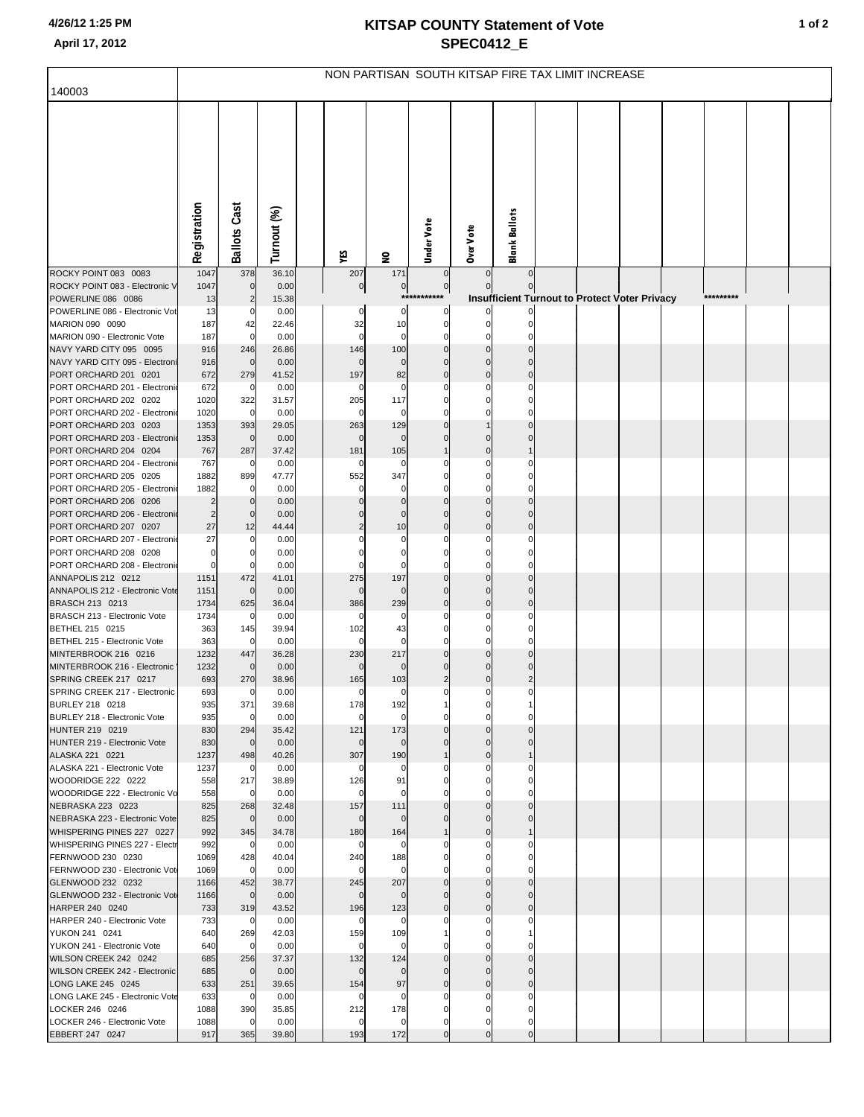|                                                         | NON PARTISAN SOUTH KITSAP FIRE TAX LIMIT INCREASE |                     |               |  |                       |                     |                |                      |                  |  |                                                      |  |  |           |  |  |
|---------------------------------------------------------|---------------------------------------------------|---------------------|---------------|--|-----------------------|---------------------|----------------|----------------------|------------------|--|------------------------------------------------------|--|--|-----------|--|--|
| 140003                                                  |                                                   |                     |               |  |                       |                     |                |                      |                  |  |                                                      |  |  |           |  |  |
|                                                         | Registration                                      | <b>Ballots Cast</b> | Turnout (%)   |  |                       |                     | Under Vote     | Over Vote            | Blank Ballots    |  |                                                      |  |  |           |  |  |
| ROCKY POINT 083 0083                                    | 1047                                              | 378                 | 36.10         |  | ٧É<br>207             | $\mathbf{S}$<br>171 | $\mathbf 0$    | $\overline{0}$       | $\mathbf 0$      |  |                                                      |  |  |           |  |  |
| ROCKY POINT 083 - Electronic V                          | 1047                                              | $\mathbf 0$         | 0.00          |  | $\overline{0}$        | $\overline{0}$      | $\pmb{0}$      | $\Omega$             |                  |  |                                                      |  |  |           |  |  |
| POWERLINE 086 0086                                      | 13                                                | $\overline{c}$      | 15.38         |  |                       | $***$               | ******         |                      |                  |  | <b>Insufficient Turnout to Protect Voter Privacy</b> |  |  | ********* |  |  |
| POWERLINE 086 - Electronic Vot                          | 13                                                | 0                   | 0.00          |  |                       | 0                   | 0              |                      |                  |  |                                                      |  |  |           |  |  |
| MARION 090 0090                                         | 187                                               | 42                  | 22.46         |  | 32                    | 10                  | 0              |                      |                  |  |                                                      |  |  |           |  |  |
| MARION 090 - Electronic Vote<br>NAVY YARD CITY 095 0095 | 187<br>916                                        | $\mathbf 0$<br>246  | 0.00<br>26.86 |  | $\mathbf 0$<br>146    | $\Omega$<br>100     | 0<br>$\Omega$  |                      |                  |  |                                                      |  |  |           |  |  |
| NAVY YARD CITY 095 - Electroni                          | 916                                               | $\mathbf 0$         | 0.00          |  | $\Omega$              | $\Omega$            | $\Omega$       | $\Omega$             | $\Omega$         |  |                                                      |  |  |           |  |  |
| PORT ORCHARD 201 0201                                   | 672                                               | 279                 | 41.52         |  | 197                   | 82                  | $\Omega$       | $\Omega$             | $\Omega$         |  |                                                      |  |  |           |  |  |
| PORT ORCHARD 201 - Electronio                           | 672                                               | 0                   | 0.00          |  | $\Omega$              | 0                   |                |                      | 0                |  |                                                      |  |  |           |  |  |
| PORT ORCHARD 202 0202                                   | 1020                                              | 322                 | 31.57         |  | 205                   | 117                 |                |                      | C                |  |                                                      |  |  |           |  |  |
| PORT ORCHARD 202 - Electronio                           | 1020                                              | $\mathbf 0$         | 0.00          |  | 0                     | $\Omega$            |                |                      | C                |  |                                                      |  |  |           |  |  |
| PORT ORCHARD 203 0203                                   | 1353                                              | 393                 | 29.05         |  | 263                   | 129                 |                | $\Omega$             |                  |  |                                                      |  |  |           |  |  |
| PORT ORCHARD 203 - Electronic<br>PORT ORCHARD 204 0204  | 1353<br>767                                       | $\mathbf 0$<br>287  | 0.00<br>37.42 |  | $\mathbf 0$<br>181    | $\Omega$<br>105     |                | $\Omega$             |                  |  |                                                      |  |  |           |  |  |
| PORT ORCHARD 204 - Electronio                           | 767                                               | 0                   | 0.00          |  | $\Omega$              | 0                   |                |                      | 0                |  |                                                      |  |  |           |  |  |
| PORT ORCHARD 205 0205                                   | 1882                                              | 899                 | 47.77         |  | 552                   | 347                 |                |                      | O                |  |                                                      |  |  |           |  |  |
| PORT ORCHARD 205 - Electronio                           | 1882                                              | 0                   | 0.00          |  | 0                     | 0                   |                |                      | $\Omega$         |  |                                                      |  |  |           |  |  |
| PORT ORCHARD 206 0206                                   | 2                                                 | $\mathbf 0$         | 0.00          |  | $\Omega$              | $\Omega$            |                |                      | $\Omega$         |  |                                                      |  |  |           |  |  |
| PORT ORCHARD 206 - Electronio                           | 2                                                 | 0                   | 0.00          |  | 0                     | $\mathbf 0$         |                | $\Omega$             | $\Omega$         |  |                                                      |  |  |           |  |  |
| PORT ORCHARD 207 0207<br>PORT ORCHARD 207 - Electronio  | 27<br>27                                          | 12<br>0             | 44.44<br>0.00 |  | $\overline{2}$<br>0   | 10<br>0             | $\Omega$       | $\Omega$             | $\Omega$<br>0    |  |                                                      |  |  |           |  |  |
| PORT ORCHARD 208 0208                                   | $\mathbf 0$                                       | -0                  | 0.00          |  | $\Omega$              | $\Omega$            |                |                      | $\Omega$         |  |                                                      |  |  |           |  |  |
| PORT ORCHARD 208 - Electronio                           | $\mathbf 0$                                       | 0                   | 0.00          |  | 0                     | $\Omega$            |                |                      | 0                |  |                                                      |  |  |           |  |  |
| ANNAPOLIS 212 0212                                      | 1151                                              | 472                 | 41.01         |  | 275                   | 197                 | $\Omega$       |                      | $\Omega$         |  |                                                      |  |  |           |  |  |
| ANNAPOLIS 212 - Electronic Vote                         | 1151                                              | $\mathbf 0$         | 0.00          |  | $\mathbf 0$           | $\Omega$            | $\Omega$       | $\Omega$             | $\Omega$         |  |                                                      |  |  |           |  |  |
| BRASCH 213 0213                                         | 1734                                              | 625                 | 36.04         |  | 386                   | 239                 | $\Omega$       | $\Omega$             | $\Omega$<br>0    |  |                                                      |  |  |           |  |  |
| BRASCH 213 - Electronic Vote<br>BETHEL 215 0215         | 1734<br>363                                       | 0<br>145            | 0.00<br>39.94 |  | 0<br>102              | 0<br>43             |                |                      | C                |  |                                                      |  |  |           |  |  |
| BETHEL 215 - Electronic Vote                            | 363                                               | $\mathbf 0$         | 0.00          |  | $\mathbf 0$           | $\Omega$            |                |                      | $\Omega$         |  |                                                      |  |  |           |  |  |
| MINTERBROOK 216 0216                                    | 1232                                              | 447                 | 36.28         |  | 230                   | 217                 | $\Omega$       |                      |                  |  |                                                      |  |  |           |  |  |
| MINTERBROOK 216 - Electronic                            | 1232                                              | $\mathbf 0$         | 0.00          |  | $\mathbf 0$           | $\Omega$            | $\Omega$       | $\Omega$             | $\Omega$         |  |                                                      |  |  |           |  |  |
| SPRING CREEK 217 0217                                   | 693                                               | 270                 | 38.96         |  | 165                   | 103                 | $\overline{2}$ | $\Omega$             |                  |  |                                                      |  |  |           |  |  |
| SPRING CREEK 217 - Electronic<br><b>BURLEY 218 0218</b> | 693<br>935                                        | 0<br>371            | 0.00<br>39.68 |  | $\overline{0}$<br>178 | 0<br>192            | 0              | $\mathbf 0$<br>0     | $\mathbf 0$      |  |                                                      |  |  |           |  |  |
| BURLEY 218 - Electronic Vote                            | 935                                               | 0                   | 0.00          |  | $\overline{0}$        | $\mathbf 0$         | 0              | $\mathbf 0$          | O                |  |                                                      |  |  |           |  |  |
| HUNTER 219 0219                                         | 830                                               | 294                 | 35.42         |  | 121                   | 173                 | $\Omega$       | $\Omega$             | $\Omega$         |  |                                                      |  |  |           |  |  |
| HUNTER 219 - Electronic Vote                            | 830                                               | $\mathbf 0$         | 0.00          |  | $\mathbf 0$           | $\mathbf 0$         | $\mathbf 0$    | $\mathbf 0$          | $\Omega$         |  |                                                      |  |  |           |  |  |
| ALASKA 221 0221                                         | 1237                                              | 498                 | 40.26         |  | 307                   | 190                 | $\overline{1}$ | $\mathbf 0$          |                  |  |                                                      |  |  |           |  |  |
| ALASKA 221 - Electronic Vote<br>WOODRIDGE 222 0222      | 1237<br>558                                       | $\mathbf 0$<br>217  | 0.00<br>38.89 |  | 0<br>126              | 0<br>91             | 0<br>0         | $\Omega$<br>$\Omega$ | 0<br>$\Omega$    |  |                                                      |  |  |           |  |  |
| WOODRIDGE 222 - Electronic Vo                           | 558                                               | 0                   | 0.00          |  | 0                     | 0                   | 0              | O                    | $\Omega$         |  |                                                      |  |  |           |  |  |
| NEBRASKA 223 0223                                       | 825                                               | 268                 | 32.48         |  | 157                   | 111                 | $\Omega$       | $\Omega$             | $\Omega$         |  |                                                      |  |  |           |  |  |
| NEBRASKA 223 - Electronic Vote                          | 825                                               | $\mathbf 0$         | 0.00          |  | $\mathbf 0$           | $\mathbf 0$         | $\Omega$       | $\Omega$             | $\Omega$         |  |                                                      |  |  |           |  |  |
| WHISPERING PINES 227 0227                               | 992                                               | 345                 | 34.78         |  | 180                   | 164                 | $\mathbf 1$    | $\Omega$             |                  |  |                                                      |  |  |           |  |  |
| WHISPERING PINES 227 - Electr<br>FERNWOOD 230 0230      | 992<br>1069                                       | 0<br>428            | 0.00<br>40.04 |  | 0<br>240              | 0<br>188            | 0<br>0         | $\Omega$             | 0<br>$\Omega$    |  |                                                      |  |  |           |  |  |
| FERNWOOD 230 - Electronic Vot                           | 1069                                              | $\mathbf 0$         | 0.00          |  | 0                     | 0                   | 0              | 0                    | $\Omega$         |  |                                                      |  |  |           |  |  |
| GLENWOOD 232 0232                                       | 1166                                              | 452                 | 38.77         |  | 245                   | 207                 | $\Omega$       | $\Omega$             | $\Omega$         |  |                                                      |  |  |           |  |  |
| GLENWOOD 232 - Electronic Vot                           | 1166                                              | $\mathbf 0$         | 0.00          |  | $\mathbf 0$           | $\mathbf{0}$        | $\mathbf 0$    | $\Omega$             | $\Omega$         |  |                                                      |  |  |           |  |  |
| HARPER 240 0240                                         | 733                                               | 319                 | 43.52         |  | 196                   | 123                 | $\mathbf{0}$   | $\Omega$             | $\Omega$         |  |                                                      |  |  |           |  |  |
| HARPER 240 - Electronic Vote                            | 733                                               | 0                   | 0.00          |  | 0                     | 0                   | 0              | $\Omega$             | 0                |  |                                                      |  |  |           |  |  |
| YUKON 241 0241<br>YUKON 241 - Electronic Vote           | 640<br>640                                        | 269<br>$\mathbf 0$  | 42.03<br>0.00 |  | 159<br>0              | 109<br>0            |                |                      | $\Omega$         |  |                                                      |  |  |           |  |  |
| WILSON CREEK 242 0242                                   | 685                                               | 256                 | 37.37         |  | 132                   | 124                 | $\Omega$       | $\Omega$             | $\Omega$         |  |                                                      |  |  |           |  |  |
| WILSON CREEK 242 - Electronic                           | 685                                               | $\mathbf 0$         | 0.00          |  | $\mathbf 0$           | $\mathbf 0$         | $\Omega$       | $\Omega$             | $\Omega$         |  |                                                      |  |  |           |  |  |
| LONG LAKE 245 0245                                      | 633                                               | 251                 | 39.65         |  | 154                   | 97                  | $\mathbf 0$    | $\mathbf 0$          | $\Omega$         |  |                                                      |  |  |           |  |  |
| LONG LAKE 245 - Electronic Vote                         | 633                                               | 0                   | 0.00          |  | 0                     | 0                   | 0              | $\Omega$             | 0                |  |                                                      |  |  |           |  |  |
| LOCKER 246 0246<br>LOCKER 246 - Electronic Vote         | 1088<br>1088                                      | 390<br>$\mathbf 0$  | 35.85<br>0.00 |  | 212<br>0              | 178<br>0            | 0<br>0         | 0<br>$\mathbf 0$     | 0<br>$\mathbf 0$ |  |                                                      |  |  |           |  |  |
| EBBERT 247 0247                                         | 917                                               | 365                 | 39.80         |  | 193                   | 172                 | $\mathbf 0$    | $\mathbf 0$          | $\mathbf 0$      |  |                                                      |  |  |           |  |  |
|                                                         |                                                   |                     |               |  |                       |                     |                |                      |                  |  |                                                      |  |  |           |  |  |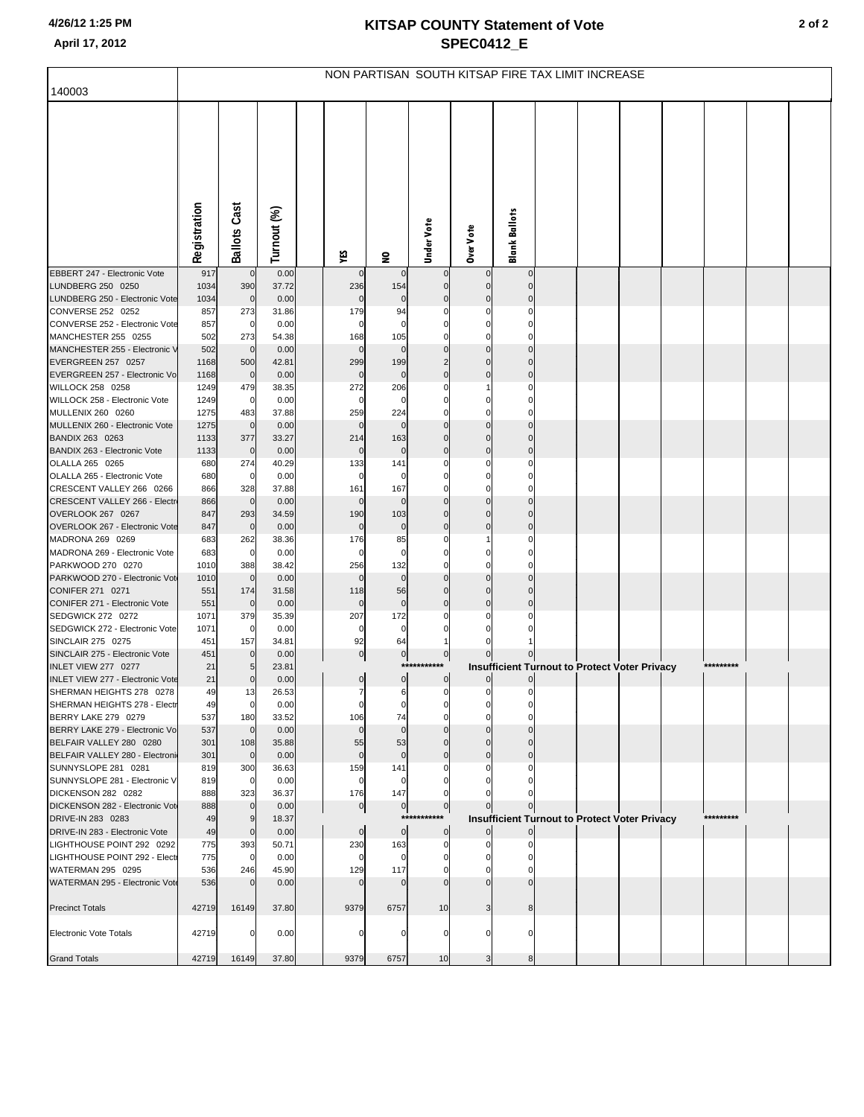|                                                           | NON PARTISAN SOUTH KITSAP FIRE TAX LIMIT INCREASE |                     |               |  |                    |                     |                                 |                         |                      |                                                      |  |  |  |           |  |  |
|-----------------------------------------------------------|---------------------------------------------------|---------------------|---------------|--|--------------------|---------------------|---------------------------------|-------------------------|----------------------|------------------------------------------------------|--|--|--|-----------|--|--|
| 140003                                                    |                                                   |                     |               |  |                    |                     |                                 |                         |                      |                                                      |  |  |  |           |  |  |
|                                                           |                                                   |                     |               |  |                    |                     |                                 |                         |                      |                                                      |  |  |  |           |  |  |
|                                                           |                                                   |                     |               |  |                    |                     |                                 |                         |                      |                                                      |  |  |  |           |  |  |
|                                                           |                                                   |                     |               |  |                    |                     |                                 |                         |                      |                                                      |  |  |  |           |  |  |
|                                                           |                                                   |                     |               |  |                    |                     |                                 |                         |                      |                                                      |  |  |  |           |  |  |
|                                                           |                                                   |                     |               |  |                    |                     |                                 |                         |                      |                                                      |  |  |  |           |  |  |
|                                                           |                                                   |                     |               |  |                    |                     |                                 |                         |                      |                                                      |  |  |  |           |  |  |
|                                                           |                                                   |                     |               |  |                    |                     |                                 |                         |                      |                                                      |  |  |  |           |  |  |
|                                                           |                                                   |                     |               |  |                    |                     |                                 |                         |                      |                                                      |  |  |  |           |  |  |
|                                                           | Registration                                      | <b>Ballots Cast</b> | Turnout (%)   |  | ٧ÉS                | $\mathbf{S}$        | Under Vote                      | Over Vote               | <b>Blank Ballots</b> |                                                      |  |  |  |           |  |  |
| EBBERT 247 - Electronic Vote                              | 917                                               | $\pmb{0}$           | 0.00          |  |                    | $\Omega$            |                                 |                         |                      |                                                      |  |  |  |           |  |  |
| LUNDBERG 250 0250                                         | 1034                                              | 390                 | 37.72         |  | 236                | 154                 |                                 | $\Omega$                |                      |                                                      |  |  |  |           |  |  |
| LUNDBERG 250 - Electronic Vote                            | 1034                                              | $\mathbf 0$         | 0.00          |  | $\mathbf 0$        | 0                   |                                 | $\Omega$                |                      |                                                      |  |  |  |           |  |  |
| CONVERSE 252 0252<br>CONVERSE 252 - Electronic Vote       | 857<br>857                                        | 273<br>0            | 31.86<br>0.00 |  | 179                | 94<br>$\Omega$      |                                 | 0                       |                      |                                                      |  |  |  |           |  |  |
| MANCHESTER 255 0255                                       | 502                                               | 273                 | 54.38         |  | 168                | 105                 |                                 |                         |                      |                                                      |  |  |  |           |  |  |
| MANCHESTER 255 - Electronic V                             | 502                                               | $\mathbf 0$         | 0.00          |  | $\mathbf 0$        | $\Omega$            |                                 |                         |                      |                                                      |  |  |  |           |  |  |
| EVERGREEN 257 0257                                        | 1168                                              | 500                 | 42.81         |  | 299                | 199                 | $\overline{2}$                  | $\Omega$                |                      |                                                      |  |  |  |           |  |  |
| EVERGREEN 257 - Electronic Vo<br>WILLOCK 258 0258         | 1168<br>1249                                      | $\mathbf 0$<br>479  | 0.00<br>38.35 |  | $\mathbf 0$<br>272 | $\mathbf 0$<br>206  | $\Omega$<br>0                   | $\Omega$                |                      |                                                      |  |  |  |           |  |  |
| WILLOCK 258 - Electronic Vote                             | 1249                                              | 0                   | 0.00          |  | 0                  | 0                   |                                 |                         |                      |                                                      |  |  |  |           |  |  |
| MULLENIX 260 0260                                         | 1275                                              | 483                 | 37.88         |  | 259                | 224                 |                                 |                         |                      |                                                      |  |  |  |           |  |  |
| MULLENIX 260 - Electronic Vote                            | 1275                                              | $\mathbf 0$         | 0.00          |  | $\Omega$           | $\Omega$            |                                 |                         |                      |                                                      |  |  |  |           |  |  |
| BANDIX 263 0263<br>BANDIX 263 - Electronic Vote           | 1133                                              | 377<br>$\mathbf 0$  | 33.27<br>0.00 |  | 214<br>$\mathbf 0$ | 163<br>$\mathbf 0$  | $\Omega$<br>0                   | $\Omega$<br>$\mathbf 0$ | C                    |                                                      |  |  |  |           |  |  |
| OLALLA 265 0265                                           | 1133<br>680                                       | 274                 | 40.29         |  | 133                | 141                 |                                 | $\Omega$                |                      |                                                      |  |  |  |           |  |  |
| OLALLA 265 - Electronic Vote                              | 680                                               | $\mathbf 0$         | 0.00          |  |                    | 0                   |                                 |                         |                      |                                                      |  |  |  |           |  |  |
| CRESCENT VALLEY 266 0266                                  | 866                                               | 328                 | 37.88         |  | 161                | 167                 | 0                               |                         |                      |                                                      |  |  |  |           |  |  |
| CRESCENT VALLEY 266 - Electr                              | 866                                               | $\mathbf 0$         | 0.00          |  | $\mathbf 0$        | $\Omega$            |                                 |                         |                      |                                                      |  |  |  |           |  |  |
| OVERLOOK 267 0267<br>OVERLOOK 267 - Electronic Vote       | 847<br>847                                        | 293<br>$\mathbf 0$  | 34.59<br>0.00 |  | 190<br>$\mathbf 0$ | 103<br>0            | $\Omega$<br>$\Omega$            | $\Omega$<br>$\Omega$    |                      |                                                      |  |  |  |           |  |  |
| MADRONA 269 0269                                          | 683                                               | 262                 | 38.36         |  | 176                | 85                  | 0                               |                         |                      |                                                      |  |  |  |           |  |  |
| MADRONA 269 - Electronic Vote                             | 683                                               | 0                   | 0.00          |  | 0                  | $\Omega$            |                                 |                         |                      |                                                      |  |  |  |           |  |  |
| PARKWOOD 270 0270                                         | 1010                                              | 388                 | 38.42         |  | 256                | 132                 |                                 |                         |                      |                                                      |  |  |  |           |  |  |
| PARKWOOD 270 - Electronic Vot                             | 1010                                              | $\mathbf 0$         | 0.00          |  | $\Omega$           | $\mathbf 0$         |                                 |                         |                      |                                                      |  |  |  |           |  |  |
| CONIFER 271 0271<br>CONIFER 271 - Electronic Vote         | 551<br>551                                        | 174<br>$\mathbf 0$  | 31.58<br>0.00 |  | 118<br>$\bf{0}$    | 56<br>$\pmb{0}$     | $\Omega$<br>$\Omega$            | $\Omega$<br>$\Omega$    |                      |                                                      |  |  |  |           |  |  |
| SEDGWICK 272 0272                                         | 1071                                              | 379                 | 35.39         |  | 207                | 172                 |                                 |                         |                      |                                                      |  |  |  |           |  |  |
| SEDGWICK 272 - Electronic Vote                            | 1071                                              | 0                   | 0.00          |  | $\Omega$           | 0                   |                                 |                         |                      |                                                      |  |  |  |           |  |  |
| SINCLAIR 275 0275                                         | 451                                               | 157                 | 34.81         |  | 92                 | 64                  |                                 |                         |                      |                                                      |  |  |  |           |  |  |
| SINCLAIR 275 - Electronic Vote<br>INLET VIEW 277 0277     | 451                                               | $\mathbf 0$<br>5    | 0.00          |  | $\mathbf 0$        | $\overline{0}$      | $\boldsymbol{0}$<br>*********** |                         |                      |                                                      |  |  |  | ********* |  |  |
| <b>INLET VIEW 277 - Electronic Vote</b>                   | 21<br>21                                          | $\mathbf 0$         | 23.81<br>0.00 |  | $\pmb{0}$          | $\overline{0}$      | $\mathbf 0$                     | $\overline{0}$          |                      | <b>Insufficient Turnout to Protect Voter Privacy</b> |  |  |  |           |  |  |
| SHERMAN HEIGHTS 278 0278                                  | 49                                                | 13                  | 26.53         |  | $\overline{7}$     | 6                   | $\pmb{0}$                       | $\overline{0}$          | $\mathbf 0$          |                                                      |  |  |  |           |  |  |
| SHERMAN HEIGHTS 278 - Electr                              | 49                                                | 0                   | 0.00          |  |                    |                     |                                 |                         |                      |                                                      |  |  |  |           |  |  |
| BERRY LAKE 279 0279                                       | 537                                               | 180                 | 33.52         |  | 106                | 74                  |                                 |                         |                      |                                                      |  |  |  |           |  |  |
| BERRY LAKE 279 - Electronic Vo<br>BELFAIR VALLEY 280 0280 | 537<br>301                                        | $\mathbf 0$<br>108  | 0.00<br>35.88 |  | $\Omega$<br>55     | $\Omega$<br>53      | $\Omega$                        | $\Omega$                |                      |                                                      |  |  |  |           |  |  |
| BELFAIR VALLEY 280 - Electroni                            | 301                                               | $\mathbf 0$         | 0.00          |  | $\mathbf 0$        | $\mathbf 0$         | $\Omega$                        | $\Omega$                |                      |                                                      |  |  |  |           |  |  |
| SUNNYSLOPE 281 0281                                       | 819                                               | 300                 | 36.63         |  | 159                | 141                 | 0                               | O                       |                      |                                                      |  |  |  |           |  |  |
| SUNNYSLOPE 281 - Electronic V                             | 819                                               | $\mathbf 0$         | 0.00          |  | $\Omega$           | $\Omega$            |                                 |                         |                      |                                                      |  |  |  |           |  |  |
| DICKENSON 282 0282                                        | 888                                               | 323<br>$\mathbf 0$  | 36.37         |  | 176                | 147                 |                                 |                         |                      |                                                      |  |  |  |           |  |  |
| DICKENSON 282 - Electronic Vot<br>DRIVE-IN 283 0283       | 888<br>49                                         | 9                   | 0.00<br>18.37 |  | $\boldsymbol{0}$   | $\overline{0}$      | $\bf{0}$<br>***********         |                         |                      | <b>Insufficient Turnout to Protect Voter Privacy</b> |  |  |  | ********* |  |  |
| DRIVE-IN 283 - Electronic Vote                            | 49                                                | $\mathbf 0$         | 0.00          |  | $\mathbf 0$        | $\overline{0}$      | $\boldsymbol{0}$                | $\Omega$                |                      |                                                      |  |  |  |           |  |  |
| LIGHTHOUSE POINT 292 0292                                 | 775                                               | 393                 | 50.71         |  | 230                | 163                 | 0                               |                         |                      |                                                      |  |  |  |           |  |  |
| LIGHTHOUSE POINT 292 - Electi                             | 775                                               | $\mathbf 0$         | 0.00          |  |                    | $\Omega$            | O                               |                         |                      |                                                      |  |  |  |           |  |  |
| WATERMAN 295 0295<br>WATERMAN 295 - Electronic Vote       | 536<br>536                                        | 246<br>$\mathbf 0$  | 45.90<br>0.00 |  | 129<br>$\Omega$    | 117<br>$\mathbf{0}$ | O                               |                         |                      |                                                      |  |  |  |           |  |  |
|                                                           |                                                   |                     |               |  |                    |                     |                                 |                         |                      |                                                      |  |  |  |           |  |  |
| <b>Precinct Totals</b>                                    | 42719                                             | 16149               | 37.80         |  | 9379               | 6757                | 10                              | 3                       | 8                    |                                                      |  |  |  |           |  |  |
|                                                           |                                                   |                     |               |  |                    |                     |                                 |                         |                      |                                                      |  |  |  |           |  |  |
| Electronic Vote Totals                                    | 42719                                             | 0                   | 0.00          |  |                    | $\Omega$            | O                               | n                       | r                    |                                                      |  |  |  |           |  |  |
| <b>Grand Totals</b>                                       | 42719                                             | 16149               | 37.80         |  | 9379               | 6757                | 10                              | 3                       | 8                    |                                                      |  |  |  |           |  |  |